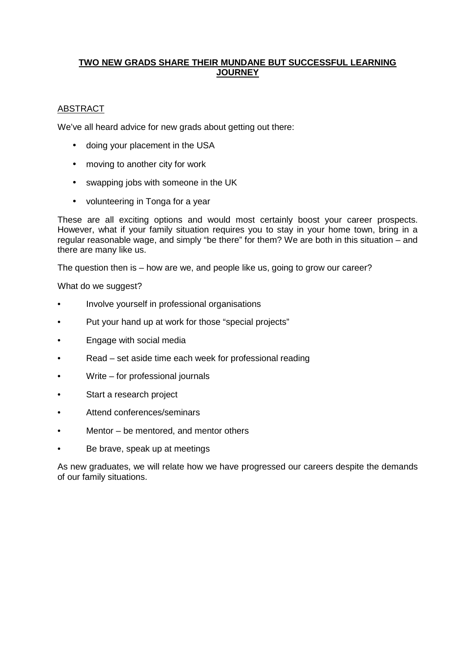## **TWO NEW GRADS SHARE THEIR MUNDANE BUT SUCCESSFUL LEARNING JOURNEY**

# ABSTRACT

We've all heard advice for new grads about getting out there:

- doing your placement in the USA
- moving to another city for work
- swapping jobs with someone in the UK
- volunteering in Tonga for a year

These are all exciting options and would most certainly boost your career prospects. However, what if your family situation requires you to stay in your home town, bring in a regular reasonable wage, and simply "be there" for them? We are both in this situation – and there are many like us.

The question then is – how are we, and people like us, going to grow our career?

What do we suggest?

- Involve yourself in professional organisations
- Put your hand up at work for those "special projects"
- Engage with social media
- Read set aside time each week for professional reading
- Write for professional journals
- Start a research project
- Attend conferences/seminars
- Mentor  $-$  be mentored, and mentor others
- Be brave, speak up at meetings

As new graduates, we will relate how we have progressed our careers despite the demands of our family situations.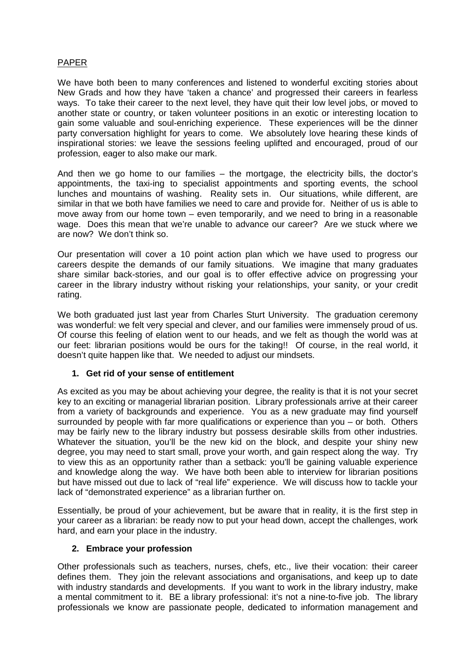## PAPER

We have both been to many conferences and listened to wonderful exciting stories about New Grads and how they have 'taken a chance' and progressed their careers in fearless ways. To take their career to the next level, they have quit their low level jobs, or moved to another state or country, or taken volunteer positions in an exotic or interesting location to gain some valuable and soul-enriching experience. These experiences will be the dinner party conversation highlight for years to come. We absolutely love hearing these kinds of inspirational stories: we leave the sessions feeling uplifted and encouraged, proud of our profession, eager to also make our mark.

And then we go home to our families – the mortgage, the electricity bills, the doctor's appointments, the taxi-ing to specialist appointments and sporting events, the school lunches and mountains of washing. Reality sets in. Our situations, while different, are similar in that we both have families we need to care and provide for. Neither of us is able to move away from our home town – even temporarily, and we need to bring in a reasonable wage. Does this mean that we're unable to advance our career? Are we stuck where we are now? We don't think so.

Our presentation will cover a 10 point action plan which we have used to progress our careers despite the demands of our family situations. We imagine that many graduates share similar back-stories, and our goal is to offer effective advice on progressing your career in the library industry without risking your relationships, your sanity, or your credit rating.

We both graduated just last year from Charles Sturt University. The graduation ceremony was wonderful: we felt very special and clever, and our families were immensely proud of us. Of course this feeling of elation went to our heads, and we felt as though the world was at our feet: librarian positions would be ours for the taking!! Of course, in the real world, it doesn't quite happen like that. We needed to adjust our mindsets.

## **1. Get rid of your sense of entitlement**

As excited as you may be about achieving your degree, the reality is that it is not your secret key to an exciting or managerial librarian position. Library professionals arrive at their career from a variety of backgrounds and experience. You as a new graduate may find yourself surrounded by people with far more qualifications or experience than you – or both. Others may be fairly new to the library industry but possess desirable skills from other industries. Whatever the situation, you'll be the new kid on the block, and despite your shiny new degree, you may need to start small, prove your worth, and gain respect along the way. Try to view this as an opportunity rather than a setback: you'll be gaining valuable experience and knowledge along the way. We have both been able to interview for librarian positions but have missed out due to lack of "real life" experience. We will discuss how to tackle your lack of "demonstrated experience" as a librarian further on.

Essentially, be proud of your achievement, but be aware that in reality, it is the first step in your career as a librarian: be ready now to put your head down, accept the challenges, work hard, and earn your place in the industry.

## **2. Embrace your profession**

Other professionals such as teachers, nurses, chefs, etc., live their vocation: their career defines them. They join the relevant associations and organisations, and keep up to date with industry standards and developments. If you want to work in the library industry, make a mental commitment to it. BE a library professional: it's not a nine-to-five job. The library professionals we know are passionate people, dedicated to information management and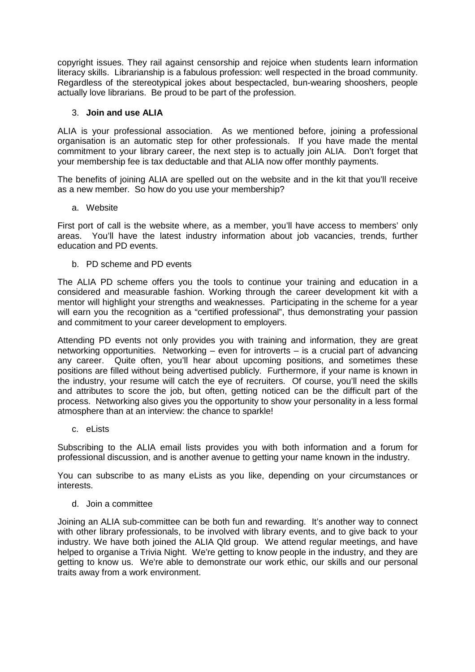copyright issues. They rail against censorship and rejoice when students learn information literacy skills. Librarianship is a fabulous profession: well respected in the broad community. Regardless of the stereotypical jokes about bespectacled, bun-wearing shooshers, people actually love librarians. Be proud to be part of the profession.

## 3. **Join and use ALIA**

ALIA is your professional association. As we mentioned before, joining a professional organisation is an automatic step for other professionals. If you have made the mental commitment to your library career, the next step is to actually join ALIA. Don't forget that your membership fee is tax deductable and that ALIA now offer monthly payments.

The benefits of joining ALIA are spelled out on the website and in the kit that you'll receive as a new member. So how do you use your membership?

a. Website

First port of call is the website where, as a member, you'll have access to members' only areas. You'll have the latest industry information about job vacancies, trends, further education and PD events.

b. PD scheme and PD events

The ALIA PD scheme offers you the tools to continue your training and education in a considered and measurable fashion. Working through the career development kit with a mentor will highlight your strengths and weaknesses. Participating in the scheme for a year will earn you the recognition as a "certified professional", thus demonstrating your passion and commitment to your career development to employers.

Attending PD events not only provides you with training and information, they are great networking opportunities. Networking – even for introverts – is a crucial part of advancing any career. Quite often, you'll hear about upcoming positions, and sometimes these positions are filled without being advertised publicly. Furthermore, if your name is known in the industry, your resume will catch the eye of recruiters. Of course, you'll need the skills and attributes to score the job, but often, getting noticed can be the difficult part of the process. Networking also gives you the opportunity to show your personality in a less formal atmosphere than at an interview: the chance to sparkle!

c. eLists

Subscribing to the ALIA email lists provides you with both information and a forum for professional discussion, and is another avenue to getting your name known in the industry.

You can subscribe to as many eLists as you like, depending on your circumstances or interests.

d. Join a committee

Joining an ALIA sub-committee can be both fun and rewarding. It's another way to connect with other library professionals, to be involved with library events, and to give back to your industry. We have both joined the ALIA Qld group. We attend regular meetings, and have helped to organise a Trivia Night. We're getting to know people in the industry, and they are getting to know us. We're able to demonstrate our work ethic, our skills and our personal traits away from a work environment.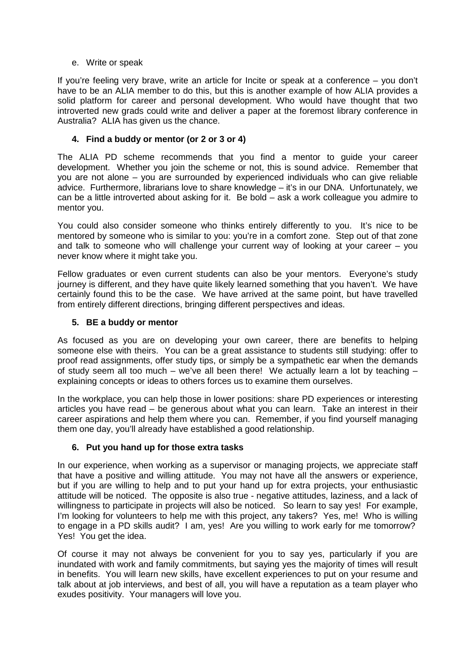## e. Write or speak

If you're feeling very brave, write an article for Incite or speak at a conference – you don't have to be an ALIA member to do this, but this is another example of how ALIA provides a solid platform for career and personal development. Who would have thought that two introverted new grads could write and deliver a paper at the foremost library conference in Australia? ALIA has given us the chance.

## **4. Find a buddy or mentor (or 2 or 3 or 4)**

The ALIA PD scheme recommends that you find a mentor to guide your career development. Whether you join the scheme or not, this is sound advice. Remember that you are not alone – you are surrounded by experienced individuals who can give reliable advice. Furthermore, librarians love to share knowledge – it's in our DNA. Unfortunately, we can be a little introverted about asking for it. Be bold – ask a work colleague you admire to mentor you.

You could also consider someone who thinks entirely differently to you. It's nice to be mentored by someone who is similar to you: you're in a comfort zone. Step out of that zone and talk to someone who will challenge your current way of looking at your career – you never know where it might take you.

Fellow graduates or even current students can also be your mentors. Everyone's study journey is different, and they have quite likely learned something that you haven't. We have certainly found this to be the case. We have arrived at the same point, but have travelled from entirely different directions, bringing different perspectives and ideas.

## **5. BE a buddy or mentor**

As focused as you are on developing your own career, there are benefits to helping someone else with theirs. You can be a great assistance to students still studying: offer to proof read assignments, offer study tips, or simply be a sympathetic ear when the demands of study seem all too much – we've all been there! We actually learn a lot by teaching – explaining concepts or ideas to others forces us to examine them ourselves.

In the workplace, you can help those in lower positions: share PD experiences or interesting articles you have read – be generous about what you can learn. Take an interest in their career aspirations and help them where you can. Remember, if you find yourself managing them one day, you'll already have established a good relationship.

## **6. Put you hand up for those extra tasks**

In our experience, when working as a supervisor or managing projects, we appreciate staff that have a positive and willing attitude. You may not have all the answers or experience, but if you are willing to help and to put your hand up for extra projects, your enthusiastic attitude will be noticed. The opposite is also true - negative attitudes, laziness, and a lack of willingness to participate in projects will also be noticed. So learn to say yes! For example, I'm looking for volunteers to help me with this project, any takers? Yes, me! Who is willing to engage in a PD skills audit? I am, yes! Are you willing to work early for me tomorrow? Yes! You get the idea.

Of course it may not always be convenient for you to say yes, particularly if you are inundated with work and family commitments, but saying yes the majority of times will result in benefits. You will learn new skills, have excellent experiences to put on your resume and talk about at job interviews, and best of all, you will have a reputation as a team player who exudes positivity. Your managers will love you.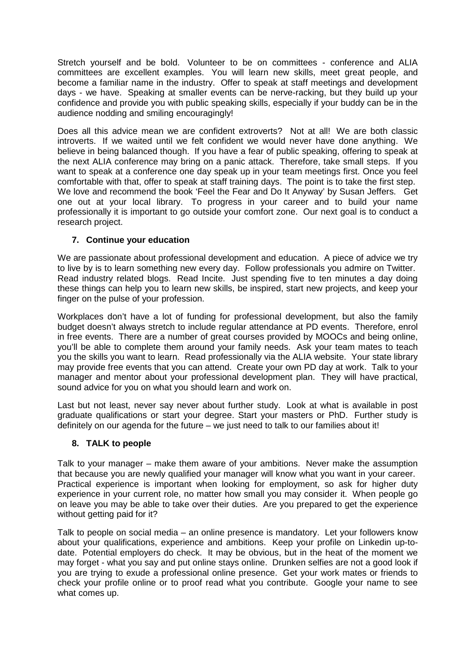Stretch yourself and be bold. Volunteer to be on committees - conference and ALIA committees are excellent examples. You will learn new skills, meet great people, and become a familiar name in the industry. Offer to speak at staff meetings and development days - we have. Speaking at smaller events can be nerve-racking, but they build up your confidence and provide you with public speaking skills, especially if your buddy can be in the audience nodding and smiling encouragingly!

Does all this advice mean we are confident extroverts? Not at all! We are both classic introverts. If we waited until we felt confident we would never have done anything. We believe in being balanced though. If you have a fear of public speaking, offering to speak at the next ALIA conference may bring on a panic attack. Therefore, take small steps. If you want to speak at a conference one day speak up in your team meetings first. Once you feel comfortable with that, offer to speak at staff training days. The point is to take the first step. We love and recommend the book 'Feel the Fear and Do It Anyway' by Susan Jeffers. Get one out at your local library. To progress in your career and to build your name professionally it is important to go outside your comfort zone. Our next goal is to conduct a research project.

# **7. Continue your education**

We are passionate about professional development and education. A piece of advice we try to live by is to learn something new every day. Follow professionals you admire on Twitter. Read industry related blogs. Read Incite. Just spending five to ten minutes a day doing these things can help you to learn new skills, be inspired, start new projects, and keep your finger on the pulse of your profession.

Workplaces don't have a lot of funding for professional development, but also the family budget doesn't always stretch to include regular attendance at PD events. Therefore, enrol in free events. There are a number of great courses provided by MOOCs and being online, you'll be able to complete them around your family needs. Ask your team mates to teach you the skills you want to learn. Read professionally via the ALIA website. Your state library may provide free events that you can attend. Create your own PD day at work. Talk to your manager and mentor about your professional development plan. They will have practical, sound advice for you on what you should learn and work on.

Last but not least, never say never about further study. Look at what is available in post graduate qualifications or start your degree. Start your masters or PhD. Further study is definitely on our agenda for the future – we just need to talk to our families about it!

# **8. TALK to people**

Talk to your manager – make them aware of your ambitions. Never make the assumption that because you are newly qualified your manager will know what you want in your career. Practical experience is important when looking for employment, so ask for higher duty experience in your current role, no matter how small you may consider it. When people go on leave you may be able to take over their duties. Are you prepared to get the experience without getting paid for it?

Talk to people on social media – an online presence is mandatory. Let your followers know about your qualifications, experience and ambitions. Keep your profile on Linkedin up-todate. Potential employers do check. It may be obvious, but in the heat of the moment we may forget - what you say and put online stays online. Drunken selfies are not a good look if you are trying to exude a professional online presence. Get your work mates or friends to check your profile online or to proof read what you contribute. Google your name to see what comes up.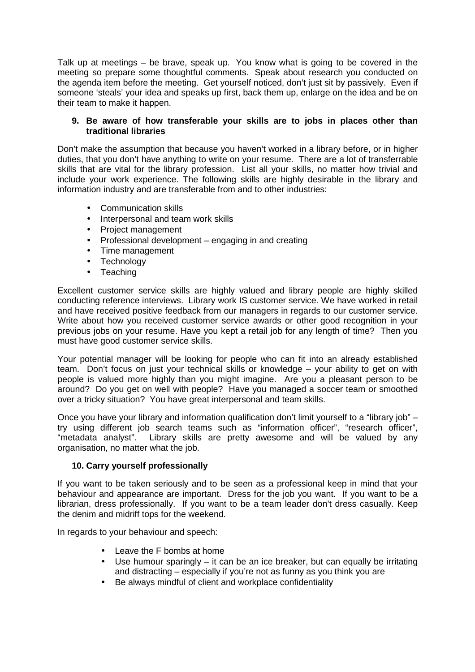Talk up at meetings – be brave, speak up. You know what is going to be covered in the meeting so prepare some thoughtful comments. Speak about research you conducted on the agenda item before the meeting. Get yourself noticed, don't just sit by passively. Even if someone 'steals' your idea and speaks up first, back them up, enlarge on the idea and be on their team to make it happen.

## **9. Be aware of how transferable your skills are to jobs in places other than traditional libraries**

Don't make the assumption that because you haven't worked in a library before, or in higher duties, that you don't have anything to write on your resume. There are a lot of transferrable skills that are vital for the library profession. List all your skills, no matter how trivial and include your work experience. The following skills are highly desirable in the library and information industry and are transferable from and to other industries:

- Communication skills
- Interpersonal and team work skills
- Project management
- Professional development engaging in and creating
- Time management
- Technology
- Teaching

Excellent customer service skills are highly valued and library people are highly skilled conducting reference interviews. Library work IS customer service. We have worked in retail and have received positive feedback from our managers in regards to our customer service. Write about how you received customer service awards or other good recognition in your previous jobs on your resume. Have you kept a retail job for any length of time? Then you must have good customer service skills.

Your potential manager will be looking for people who can fit into an already established team. Don't focus on just your technical skills or knowledge – your ability to get on with people is valued more highly than you might imagine. Are you a pleasant person to be around? Do you get on well with people? Have you managed a soccer team or smoothed over a tricky situation? You have great interpersonal and team skills.

Once you have your library and information qualification don't limit yourself to a "library job" – try using different job search teams such as "information officer", "research officer", "metadata analyst". Library skills are pretty awesome and will be valued by any organisation, no matter what the job.

## **10. Carry yourself professionally**

If you want to be taken seriously and to be seen as a professional keep in mind that your behaviour and appearance are important. Dress for the job you want. If you want to be a librarian, dress professionally. If you want to be a team leader don't dress casually. Keep the denim and midriff tops for the weekend.

In regards to your behaviour and speech:

- Leave the F bombs at home
- Use humour sparingly it can be an ice breaker, but can equally be irritating and distracting – especially if you're not as funny as you think you are
- Be always mindful of client and workplace confidentiality